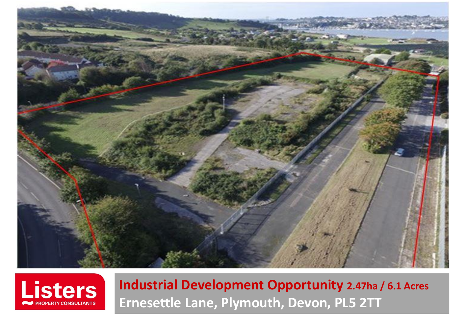



**Industrial Development Opportunity 2.47ha / 6.1 Acres Ernesettle Lane, Plymouth, Devon, PL5 2TT**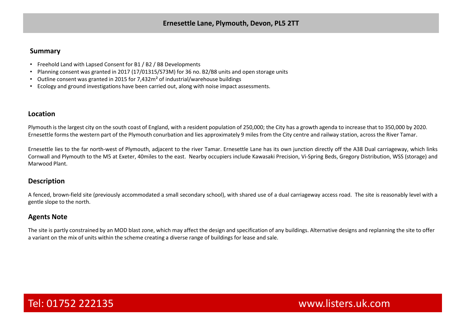### **Summary**

- Freehold Land with Lapsed Consent for B1 / B2 / B8 Developments
- Planning consent was granted in 2017 (17/01315/S73M) for 36 no. B2/B8 units and open storage units
- Outline consent was granted in 2015 for 7,432m² of industrial/warehouse buildings
- Ecology and ground investigations have been carried out, along with noise impact assessments.

## **Location**

Plymouth is the largest city on the south coast of England, with a resident population of 250,000; the City has a growth agenda to increase that to 350,000 by 2020. Ernesettle forms the western part of the Plymouth conurbation and lies approximately 9 miles from the City centre and railway station, across the River Tamar.

Ernesettle lies to the far north-west of Plymouth, adjacent to the river Tamar. Ernesettle Lane has its own junction directly off the A38 Dual carriageway, which links Cornwall and Plymouth to the M5 at Exeter, 40miles to the east. Nearby occupiers include Kawasaki Precision, Vi-Spring Beds, Gregory Distribution, WSS (storage) and Marwood Plant.

## **Description**

A fenced, brown-field site (previously accommodated a small secondary school), with shared use of a dual carriageway access road. The site is reasonably level with a gentle slope to the north.

## **Agents Note**

The site is partly constrained by an MOD blast zone, which may affect the design and specification of any buildings. Alternative designs and replanning the site to offer a variant on the mix of units within the scheme creating a diverse range of buildings for lease and sale.

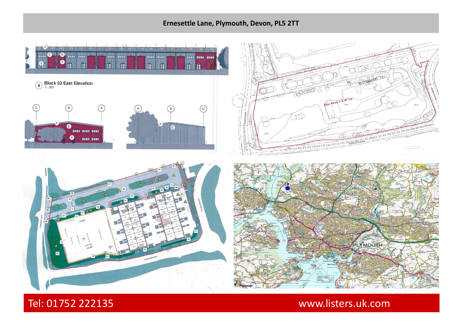# **Ernesettle Lane, Plymouth, Devon, PL5 2TT**



Tel: 01752 222135 www.listers.uk.com